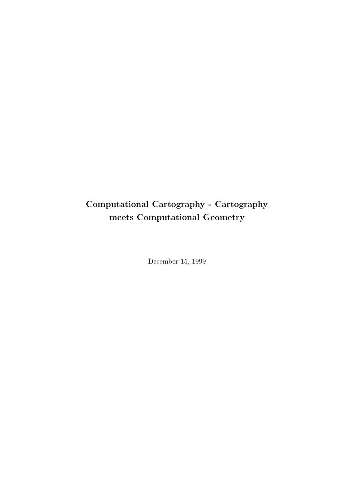# Computational Cartography - Cartography meets Computational Geometry

December 15, 1999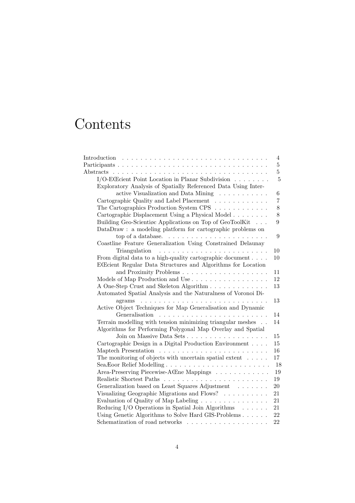# Contents

|                                                                                  | $\overline{4}$ |
|----------------------------------------------------------------------------------|----------------|
|                                                                                  | $\overline{5}$ |
|                                                                                  | $\overline{5}$ |
| I/O-ECEcient Point Location in Planar Subdivision                                | $\overline{5}$ |
| Exploratory Analysis of Spatially Referenced Data Using Inter-                   |                |
| active Visualization and Data Mining $\dots \dots \dots$                         | $\,6\,$        |
| Cartographic Quality and Label Placement                                         | $\overline{7}$ |
| The Cartographics Production System CPS                                          | 8              |
| Cartographic Displacement Using a Physical Model                                 | $8\,$          |
| Building Geo-Scientiøc Applications on Top of GeoToolKit                         | 9              |
| DataDraw: a modeling platform for cartographic problems on                       |                |
|                                                                                  | 9              |
| Coastline Feature Generalization Using Constrained Delaunay                      |                |
|                                                                                  | 10             |
| From digital data to a high-quality cartographic document $\ldots$ .             | 10             |
| ECEcient Regular Data Structures and Algorithms for Location                     |                |
|                                                                                  | 11             |
| Models of Map Production and Use                                                 | 12             |
| A One-Step Crust and Skeleton Algorithm                                          | 13             |
| Automated Spatial Analysis and the Naturalness of Voronoi Di-                    |                |
| $agrams \dots \dots \dots \dots \dots \dots \dots \dots \dots \dots \dots \dots$ | 13             |
| Active Object Techniques for Map Generalisation and Dynamic                      |                |
|                                                                                  | 14             |
| Terrain modelling with tension minimizing triangular meshes                      | 14             |
| Algorithms for Performing Polygonal Map Overlay and Spatial                      |                |
|                                                                                  | 15             |
| Cartographic Design in a Digital Production Environment                          | 15             |
|                                                                                  | 16             |
| The monitoring of objects with uncertain spatial extent $\ldots$ .               | 17             |
| Sea Eoor Relief Modelling                                                        | 18             |
| Area-Preserving Piecewise-ACEne Mappings                                         | 19             |
|                                                                                  | 19             |
| Generalization based on Least Squares Adjustment                                 | $20\,$         |
| Visualizing Geographic Migrations and Flows?                                     | 21             |
| Evaluation of Quality of Map Labeling                                            | 21             |
| Reducing I/O Operations in Spatial Join Algorithms $\ldots \ldots$               | 21             |
| Using Genetic Algorithms to Solve Hard GIS-Problems                              | 22             |
| Schematization of road networks $\ldots \ldots \ldots \ldots \ldots \ldots$      | 22             |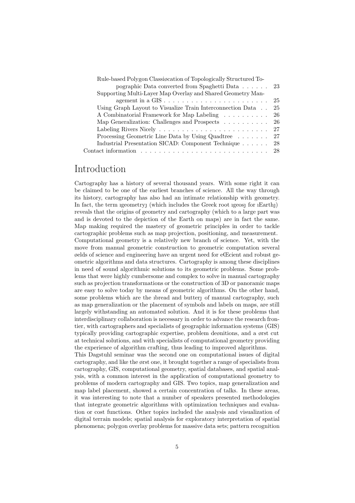| Rule-based Polygon Classignation of Topologically Structured To-          |     |
|---------------------------------------------------------------------------|-----|
| pographic Data converted from Spaghetti Data $\ldots$ 23                  |     |
| Supporting Multi-Layer Map Overlay and Shared Geometry Man-               |     |
| agement in a $\text{GIS} \dots \dots \dots \dots \dots \dots \dots \dots$ | 25  |
| Using Graph Layout to Visualize Train Interconnection Data                | 25  |
| A Combinatorial Framework for Map Labeling                                | -26 |
| Map Generalization: Challenges and Prospects 26                           |     |
|                                                                           |     |
| Processing Geometric Line Data by Using Quadtree 27                       |     |
| Industrial Presentation SICAD: Component Technique 28                     |     |
|                                                                           |     |

# Introduction

Cartography has a history of several thousand years. With some right it can be claimed to be one of the earliest branches of science. All the way through its history, cartography has also had an intimate relationship with geometry. In fact, the term igeometry (which includes the Greek root igeos) for iEarth) reveals that the origins of geometry and cartography (which to a large part was and is devoted to the depiction of the Earth on maps) are in fact the same. Map making required the mastery of geometric principles in order to tackle cartographic problems such as map projection, positioning, and measurement. Computational geometry is a relatively new branch of science. Yet, with the move from manual geometric construction to geometric computation several øelds of science and engineering have an urgent need for eŒcient and robust geometric algorithms and data structures. Cartography is among these disciplines in need of sound algorithmic solutions to its geometric problems. Some problems that were highly cumbersome and complex to solve in manual cartography such as projection transformations or the construction of 3D or panoramic maps are easy to solve today by means of geometric algorithms. On the other hand, some problems which are the ibread and butter of manual cartography, such as map generalization or the placement of symbols and labels on maps, are still largely withstanding an automated solution. And it is for these problems that interdisciplinary collaboration is necessary in order to advance the research frontier, with cartographers and specialists of geographic information systems (GIS) typically providing cartographic expertise, problem deønitions, and a ørst cut at technical solutions, and with specialists of computational geometry providing the experience of algorithm crafting, thus leading to improved algorithms. This Dagstuhl seminar was the second one on computational issues of digital cartography, and like the ørst one, it brought together a range of specialists from

cartography, GIS, computational geometry, spatial databases, and spatial analysis, with a common interest in the application of computational geometry to problems of modern cartography and GIS. Two topics, map generalization and map label placement, showed a certain concentration of talks. In these areas, it was interesting to note that a number of speakers presented methodologies that integrate geometric algorithms with optimization techniques and evaluation or cost functions. Other topics included the analysis and visualization of digital terrain models; spatial analysis for exploratory interpretation of spatial phenomena; polygon overlay problems for massive data sets; pattern recognition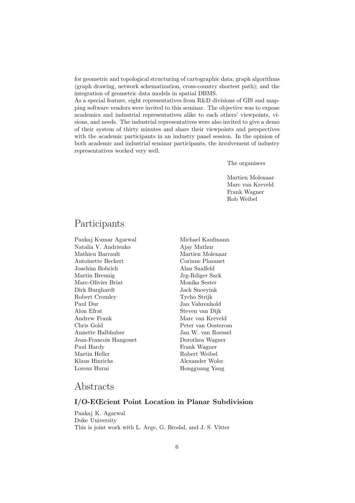for geometric and topological structuring of cartographic data; graph algorithms (graph drawing, network schematization, cross-country shortest path); and the integration of geometric data models in spatial DBMS.

As a special feature, eight representatives from R&D divisions of GIS and mapping software vendors were invited to this seminar. The objective was to expose academics and industrial representatives alike to each others' viewpoints, visions, and needs. The industrial representatives were also invited to give a demo of their system of thirty minutes and share their viewpoints and perspectives with the academic participants in an industry panel session. In the opinion of both academic and industrial seminar participants, the involvement of industry representatives worked very well.

The organisers

Martien Molenaar Marc van Kreveld Frank Wagner Rob Weibel

# Participants

Pankaj Kumar Agarwal Natalia V. Andrienko Mathieu Barrault Antoinette Beckert Joachim Bobrich Martin Breunig Marc-Olivier Briat Dirk Burghardt Robert Cromley Paul Dur Alon Efrat Andrew Frank Chris Gold Annette Halbhuber Jean-Francois Hangouet Paul Hardy Martin Heller Klaus Hinrichs Lorenz Hurni

Michael Kaufmann Ajay Mathur Martien Molenaar Corinne Plazanet Alan Saalfeld Jrg-Rdiger Sack Monika Sester Jack Snoeyink Tycho Strijk Jan Vahrenhold Steven van Dijk Marc van Kreveld Peter van Oosterom Jan W. van Roessel Dorothea Wagner Frank Wagner Robert Weibel Alexander Wolœ Hongguang Yang

# Abstracts

# I/O-EŒcient Point Location in Planar Subdivision

Pankaj K. Agarwal Duke University This is joint work with L. Arge, G. Brodal, and J. S. Vitter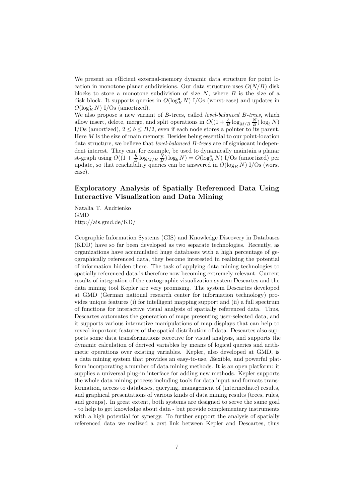We present an eCcient external-memory dynamic data structure for point location in monotone planar subdivisions. Our data structure uses  $O(N/B)$  disk blocks to store a monotone subdivision of size  $N$ , where  $B$  is the size of a disk block. It supports queries in  $O(\log_B^2 N)$  I/Os (worst-case) and updates in  $O(\log_B^2 N)$  I/Os (amortized).

We also propose a new variant of B-trees, called *level-balanced B-trees*, which allow insert, delete, merge, and split operations in  $O((1 + \frac{b}{B} \log_{M/B} \frac{N}{B}) \log_b N)$ I/Os (amortized),  $2 \le b \le B/2$ , even if each node stores a pointer to its parent. Here  $M$  is the size of main memory. Besides being essential to our point-location data structure, we believe that *level-balanced B-trees* are of signigrant independent interest. They can, for example, be used to dynamically maintain a planar st-graph using  $O((1 + \frac{b}{B} \log_{M/B} \frac{N}{B}) \log_b N) = O(\log_B^2 N)$  I/Os (amortized) per update, so that reachability queries can be answered in  $O(\log_B N)$  I/Os (worst case).

# Exploratory Analysis of Spatially Referenced Data Using Interactive Visualization and Data Mining

Natalia T. Andrienko GMD http://ais.gmd.de/KD/

Geographic Information Systems (GIS) and Knowledge Discovery in Databases (KDD) have so far been developed as two separate technologies. Recently, as organizations have accumulated huge databases with a high percentage of geographically referenced data, they become interested in realizing the potential of information hidden there. The task of applying data mining technologies to spatially referenced data is therefore now becoming extremely relevant. Current results of integration of the cartographic visualization system Descartes and the data mining tool Kepler are very promising. The system Descartes developed at GMD (German national research center for information technology) provides unique features (i) for intelligent mapping support and (ii) a full spectrum of functions for interactive visual analysis of spatially referenced data. Thus, Descartes automates the generation of maps presenting user-selected data, and it supports various interactive manipulations of map displays that can help to reveal important features of the spatial distribution of data. Descartes also supports some data transformations eœective for visual analysis, and supports the dynamic calculation of derived variables by means of logical queries and arithmetic operations over existing variables. Kepler, also developed at GMD, is a data mining system that provides an easy-to-use, Æexible, and powerful platform incorporating a number of data mining methods. It is an open platform: it supplies a universal plug-in interface for adding new methods. Kepler supports the whole data mining process including tools for data input and formats transformation, access to databases, querying, management of (intermediate) results, and graphical presentations of various kinds of data mining results (trees, rules, and groups). In great extent, both systems are designed to serve the same goal - to help to get knowledge about data - but provide complementary instruments with a high potential for synergy. To further support the analysis of spatially referenced data we realized a ørst link between Kepler and Descartes, thus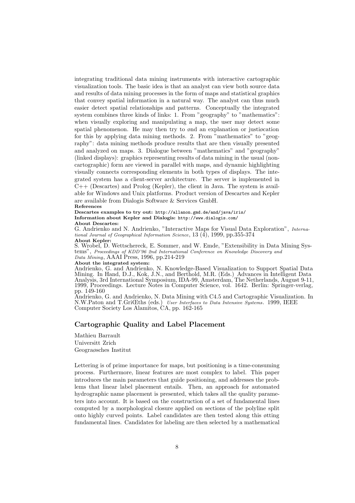integrating traditional data mining instruments with interactive cartographic visualization tools. The basic idea is that an analyst can view both source data and results of data mining processes in the form of maps and statistical graphics that convey spatial information in a natural way. The analyst can thus much easier detect spatial relationships and patterns. Conceptually the integrated system combines three kinds of links: 1. From "geography" to "mathematics": when visually exploring and manipulating a map, the user may detect some spatial phenomenon. He may then try to ønd an explanation or justiøcation for this by applying data mining methods. 2. From "mathematics" to "geography": data mining methods produce results that are then visually presented and analyzed on maps. 3. Dialogue between "mathematics" and "geography" (linked displays): graphics representing results of data mining in the usual (noncartographic) form are viewed in parallel with maps, and dynamic highlighting visually connects corresponding elements in both types of displays. The integrated system has a client-server architecture. The server is implemented in  $C++$  (Descartes) and Prolog (Kepler), the client in Java. The system is available for Windows and Unix platforms. Product version of Descartes and Kepler are available from Dialogis Software & Services GmbH.

#### References

Descartes examples to try out: http://allanon.gmd.de/and/java/iris/ Information about Kepler and Dialogis: http://www.dialogis.com/ About Descartes:

G. Andrienko and N. Andrienko, "Interactive Maps for Visual Data Exploration", International Journal of Geographical Information Science,  $13\ (\dot{4})$ , 1999, pp.355-374 About Kepler:

S. Wrobel, D. Wettschereck, E. Sommer, and W. Emde, "Extensibility in Data Mining Systems", Proceedings of KDD'96 2nd International Conference on Knowledge Discovery and Data Mining, AAAI Press, 1996, pp.214-219

About the integrated system:

Andrienko, G. and Andrienko, N. Knowledge-Based Visualization to Support Spatial Data Mining. In Hand, D.J., Kok, J.N., and Berthold, M.R. (Eds.) Advances in Intelligent Data Analysis, 3rd International Symposium, IDA-99, Amsterdam, The Netherlands, August 9-11, 1999, Proceedings. Lecture Notes in Computer Science, vol. 1642. Berlin: Springer-verlag, pp. 149-160

Andrienko, G. and Andrienko, N. Data Mining with C4.5 and Cartographic Visualization. In N.W.Paton and T.GriŒths (eds.) User Interfaces to Data Intensive Systems. 1999, IEEE Computer Society Los Alamitos, CA, pp. 162-165

#### Cartographic Quality and Label Placement

Mathieu Barrault Universitt Zrich Geograøsches Institut

Lettering is of prime importance for maps, but positioning is a time-consuming process. Furthermore, linear features are most complex to label. This paper introduces the main parameters that guide positioning, and addresses the problems that linear label placement entails. Then, an approach for automated hydrographic name placement is presented, which takes all the quality parameters into account. It is based on the construction of a set of fundamental lines computed by a morphological closure applied on sections of the polyline split onto highly curved points. Label candidates are then tested along this øtting fundamental lines. Candidates for labeling are then selected by a mathematical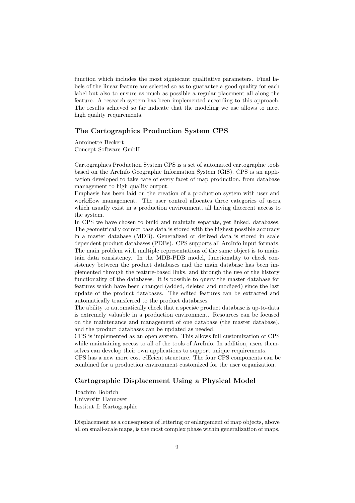function which includes the most signiøcant qualitative parameters. Final labels of the linear feature are selected so as to guarantee a good quality for each label but also to ensure as much as possible a regular placement all along the feature. A research system has been implemented according to this approach. The results achieved so far indicate that the modeling we use allows to meet high quality requirements.

### The Cartographics Production System CPS

Antoinette Beckert Concept Software GmbH

Cartographics Production System CPS is a set of automated cartographic tools based on the ArcInfo Geographic Information System (GIS). CPS is an application developed to take care of every facet of map production, from database management to high quality output.

Emphasis has been laid on the creation of a production system with user and workÆow management. The user control allocates three categories of users, which usually exist in a production environment, all having diœerent access to the system.

In CPS we have chosen to build and maintain separate, yet linked, databases. The geometrically correct base data is stored with the highest possible accuracy in a master database (MDB). Generalized or derived data is stored in scale dependent product databases (PDBs). CPS supports all ArcInfo input formats. The main problem with multiple representations of the same object is to maintain data consistency. In the MDB-PDB model, functionality to check consistency between the product databases and the main database has been implemented through the feature-based links, and through the use of the history functionality of the databases. It is possible to query the master database for features which have been changed (added, deleted and modiøed) since the last update of the product databases. The edited features can be extracted and automatically transferred to the product databases.

The ability to automatically check that a speciøc product database is up-to-data is extremely valuable in a production environment. Resources can be focused on the maintenance and management of one database (the master database), and the product databases can be updated as needed.

CPS is implemented as an open system. This allows full customization of CPS while maintaining access to all of the tools of ArcInfo. In addition, users themselves can develop their own applications to support unique requirements.

CPS has a new more cost eŒcient structure. The four CPS components can be combined for a production environment customized for the user organization.

# Cartographic Displacement Using a Physical Model

Joachim Bobrich Universitt Hannover Institut fr Kartographie

Displacement as a consequence of lettering or enlargement of map objects, above all on small-scale maps, is the most complex phase within generalization of maps.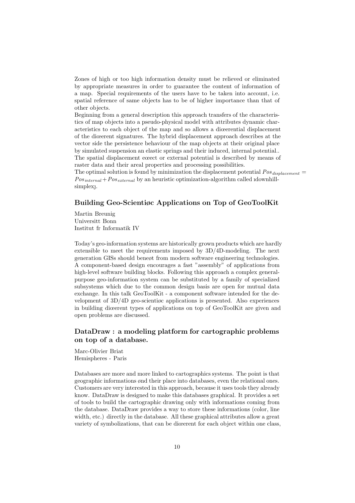Zones of high or too high information density must be relieved or eliminated by appropriate measures in order to guarantee the content of information of a map. Special requirements of the users have to be taken into account, i.e. spatial reference of same objects has to be of higher importance than that of other objects.

Beginning from a general description this approach transfers of the characteristics of map objects into a pseudo-physical model with attributes dynamic characteristics to each object of the map and so allows a diœerential displacement of the diœerent signatures. The hybrid displacement approach describes at the vector side the persistence behaviour of the map objects at their original place by simulated suspension an elastic springs and their induced, internal potential.. The spatial displacement eœect or external potential is described by means of raster data and their areal properties and processing possibilities.

The optimal solution is found by minimization the displacement potential  $Pos_{displacement}$  $Pos_{internal} + Pos_{external}$  by an heuristic optimization-algorithm called idownhillsimplex<sub>1</sub>.

#### Building Geo-Scientiøc Applications on Top of GeoToolKit

Martin Breunig Universitt Bonn Institut fr Informatik IV

Today's geo-information systems are historically grown products which are hardly extensible to meet the requirements imposed by 3D/4D-modeling. The next generation GISs should beneøt from modern software engineering technologies. A component-based design encourages a fast "assembly" of applications from high-level software building blocks. Following this approach a complex generalpurpose geo-information system can be substituted by a family of specialized subsystems which due to the common design basis are open for mutual data exchange. In this talk GeoToolKit - a component software intended for the development of 3D/4D geo-scientiøc applications is presented. Also experiences in building diœerent types of applications on top of GeoToolKit are given and open problems are discussed.

# DataDraw : a modeling platform for cartographic problems on top of a database.

Marc-Olivier Briat Hemispheres - Paris

Databases are more and more linked to cartographics systems. The point is that geographic informations ønd their place into databases, even the relational ones. Customers are very interested in this approach, because it uses tools they already know. DataDraw is designed to make this databases graphical. It provides a set of tools to build the cartographic drawing only with informations coming from the database. DataDraw provides a way to store these informations (color, line width, etc.) directly in the database. All these graphical attributes allow a great variety of symbolizations, that can be diœerent for each object within one class,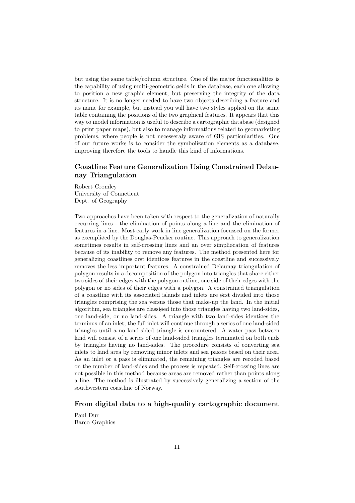but using the same table/column structure. One of the major functionalities is the capability of using multi-geometric øelds in the database, each one allowing to position a new graphic element, but preserving the integrity of the data structure. It is no longer needed to have two objects describing a feature and its name for example, but instead you will have two styles applied on the same table containing the positions of the two graphical features. It appears that this way to model information is useful to describe a cartographic database (designed to print paper maps), but also to manage informations related to geomarketing problems, where people is not necesseraly aware of GIS particularities. One of our future works is to consider the symbolization elements as a database, improving therefore the tools to handle this kind of informations.

# Coastline Feature Generalization Using Constrained Delaunay Triangulation

Robert Cromley University of Conneticut Dept. of Geography

Two approaches have been taken with respect to the generalization of naturally occurring lines - the elimination of points along a line and the elimination of features in a line. Most early work in line generalization focussed on the former as exempliøed by the Douglas-Peucker routine. This approach to generalization sometimes results in self-crossing lines and an over simpliøcation of features because of its inability to remove any features. The method presented here for generalizing coastlines ørst identiøes features in the coastline and successively removes the less important features. A constrained Delaunay triangulation of polygon results in a decomposition of the polygon into triangles that share either two sides of their edges with the polygon outline, one side of their edges with the polygon or no sides of their edges with a polygon. A constrained triangulation of a coastline with its associated islands and inlets are ørst divided into those triangles comprising the sea versus those that make-up the land. In the initial algorithm, sea triangles are classiøed into those triangles having two land-sides, one land-side, or no land-sides. A triangle with two land-sides identiøes the terminus of an inlet; the full inlet will continue through a series of one land-sided triangles until a no land-sided triangle is encountered. A water pass between land will consist of a series of one land-sided triangles terminated on both ends by triangles having no land-sides. The procedure consists of converting sea inlets to land area by removing minor inlets and sea passes based on their area. As an inlet or a pass is eliminated, the remaining triangles are recoded based on the number of land-sides and the process is repeated. Self-crossing lines are not possible in this method because areas are removed rather than points along a line. The method is illustrated by successively generalizing a section of the southwestern coastline of Norway.

#### From digital data to a high-quality cartographic document

Paul Duré Barco Graphics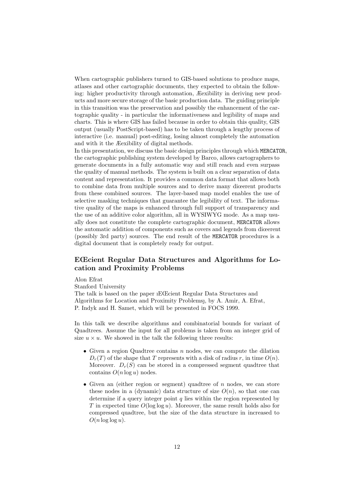When cartographic publishers turned to GIS-based solutions to produce maps, atlases and other cartographic documents, they expected to obtain the following: higher productivity through automation, Æexibility in deriving new products and more secure storage of the basic production data. The guiding principle in this transition was the preservation and possibly the enhancement of the cartographic quality - in particular the informativeness and legibility of maps and charts. This is where GIS has failed because in order to obtain this quality, GIS output (usually PostScript-based) has to be taken through a lengthy process of interactive (i.e. manual) post-editing, losing almost completely the automation and with it the Æexibility of digital methods.

In this presentation, we discuss the basic design principles through which MERCATOR, the cartographic publishing system developed by Barco, allows cartographers to generate documents in a fully automatic way and still reach and even surpass the quality of manual methods. The system is built on a clear separation of data content and representation. It provides a common data format that allows both to combine data from multiple sources and to derive many diœerent products from these combined sources. The layer-based map model enables the use of selective masking techniques that guarantee the legibility of text. The informative quality of the maps is enhanced through full support of transparency and the use of an additive color algorithm, all in WYSIWYG mode. As a map usually does not constitute the complete cartographic document, MERCATOR allows the automatic addition of components such as covers and legends from diœerent (possibly 3rd party) sources. The end result of the MERCATOR procedures is a digital document that is completely ready for output.

# EŒcient Regular Data Structures and Algorithms for Location and Proximity Problems

Alon Efrat

Stanford University

The talk is based on the paper ıEŒcient Regular Data Structures and Algorithms for Location and Proximity Problems, by A. Amir, A. Efrat, P. Indyk and H. Samet, which will be presented in FOCS 1999.

In this talk we describe algorithms and combinatorial bounds for variant of Quadtrees. Assume the input for all problems is taken from an integer grid of size  $u \times u$ . We showed in the talk the following three results:

- Given a region Quadtree contains  $n$  nodes, we can compute the dilation  $D_r(T)$  of the shape that T represents with a disk of radius r, in time  $O(n)$ . Moreover.  $D_r(S)$  can be stored in a compressed segment quadtree that contains  $O(n \log u)$  nodes.
- Given an (either region or segment) quadtree of  $n$  nodes, we can store these nodes in a (dynamic) data structure of size  $O(n)$ , so that one can determine if a query integer point  $q$  lies within the region represented by T in expected time  $O(\log \log u)$ . Moreover, the same result holds also for compressed quadtree, but the size of the data structure in increased to  $O(n \log \log u)$ .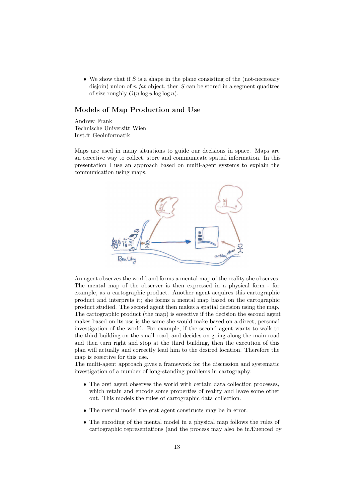• We show that if  $S$  is a shape in the plane consisting of the (not-necessary disjoin) union of  $n \text{ fat object}$ , then  $S$  can be stored in a segment quadtree of size roughly  $O(n \log u \log \log n)$ .

# Models of Map Production and Use

Andrew Frank Technische Universität Wien Inst.für Geoinformatik

Maps are used in many situations to guide our decisions in space. Maps are an eœective way to collect, store and communicate spatial information. In this presentation I use an approach based on multi-agent systems to explain the communication using maps.



An agent observes the world and forms a mental map of the reality she observes. The mental map of the observer is then expressed in a physical form - for example, as a cartographic product. Another agent acquires this cartographic product and interprets it; she forms a mental map based on the cartographic product studied. The second agent then makes a spatial decision using the map. The cartographic product (the map) is eœective if the decision the second agent makes based on its use is the same she would make based on a direct, personal investigation of the world. For example, if the second agent wants to walk to the third building on the small road, and decides on going along the main road and then turn right and stop at the third building, then the execution of this plan will actually and correctly lead him to the desired location. Therefore the map is eœective for this use.

The multi-agent approach gives a framework for the discussion and systematic investigation of a number of long-standing problems in cartography:

- The ørst agent observes the world with certain data collection processes, which retain and encode some properties of reality and leave some other out. This models the rules of cartographic data collection.
- The mental model the ørst agent constructs may be in error.
- The encoding of the mental model in a physical map follows the rules of cartographic representations (and the process may also be inÆuenced by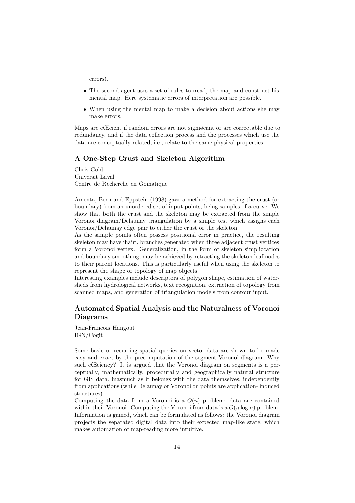errors).

- The second agent uses a set of rules to irred the map and construct his mental map. Here systematic errors of interpretation are possible.
- When using the mental map to make a decision about actions she may make errors.

Maps are eŒcient if random errors are not signiøcant or are correctable due to redundancy, and if the data collection process and the processes which use the data are conceptually related, i.e., relate to the same physical properties.

# A One-Step Crust and Skeleton Algorithm

Chris Gold Universit Laval Centre de Recherche en Gomatique

Amenta, Bern and Eppstein (1998) gave a method for extracting the crust (or boundary) from an unordered set of input points, being samples of a curve. We show that both the crust and the skeleton may be extracted from the simple Voronoi diagram/Delaunay triangulation by a simple test which assigns each Voronoi/Delaunay edge pair to either the crust or the skeleton.

As the sample points often possess positional error in practice, the resulting skeleton may have ıhair, branches generated when three adjacent crust vertices form a Voronoi vertex. Generalization, in the form of skeleton simpliøcation and boundary smoothing, may be achieved by retracting the skeleton leaf nodes to their parent locations. This is particularly useful when using the skeleton to represent the shape or topology of map objects.

Interesting examples include descriptors of polygon shape, estimation of watersheds from hydrological networks, text recognition, extraction of topology from scanned maps, and generation of triangulation models from contour input.

# Automated Spatial Analysis and the Naturalness of Voronoi Diagrams

Jean-Francois Hangout IGN/Cogit

Some basic or recurring spatial queries on vector data are shown to be made easy and exact by the precomputation of the segment Voronoi diagram. Why such eŒciency? It is argued that the Voronoi diagram on segments is a perceptually, mathematically, procedurally and geographically natural structure for GIS data, inasmuch as it belongs with the data themselves, independently from applications (while Delaunay or Voronoi on points are application- induced structures).

Computing the data from a Voronoi is a  $O(n)$  problem: data are contained within their Voronoi. Computing the Voronoi from data is a  $O(n \log n)$  problem. Information is gained, which can be formulated as follows: the Voronoi diagram projects the separated digital data into their expected map-like state, which makes automation of map-reading more intuitive.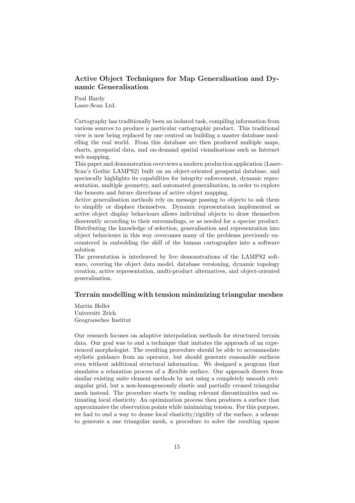# Active Object Techniques for Map Generalisation and Dynamic Generalisation

Paul Hardy Laser-Scan Ltd.

Cartography has traditionally been an isolated task, compiling information from various sources to produce a particular cartographic product. This traditional view is now being replaced by one centred on building a master database modelling the real world. From this database are then produced multiple maps, charts, geospatial data, and on-demand spatial visualisations such as Internet web mapping.

This paper and demonstration overviews a modern production application (Laser-Scan's Gothic LAMPS2) built on an object-oriented geospatial database, and speciøcally highlights its capabilities for integrity enforcement, dynamic representation, multiple geometry, and automated generalisation, in order to explore the beneøts and future directions of active object mapping.

Active generalisation methods rely on message passing to objects to ask them to simplify or displace themselves. Dynamic representation implemented as active object display behaviours allows individual objects to draw themselves diœerently according to their surroundings, or as needed for a speciøc product. Distributing the knowledge of selection, generalisation and representation into object behaviours in this way overcomes many of the problems previously encountered in embedding the skill of the human cartographer into a software solution

The presentation is interleaved by live demonstrations of the LAMPS2 software, covering the object data model, database versioning, dynamic topology creation, active representation, multi-product alternatives, and object-oriented generalisation.

#### Terrain modelling with tension minimizing triangular meshes

Martin Heller Universitt Zrich Geograøsches Institut

Our research focuses on adaptive interpolation methods for structured terrain data. Our goal was to ønd a technique that imitates the approach of an experienced morphologist. The resulting procedure should be able to accommodate stylistic guidance from an operator, but should generate reasonable surfaces even without additional structural information. We designed a program that simulates a relaxation process of a Æexible surface. Our approach diœers from similar existing ønite element methods by not using a completely smooth rectangular grid, but a non-homogeneously elastic and partially creased triangular mesh instead. The procedure starts by ønding relevant discontinuities and estimating local elasticity. An optimization process then produces a surface that approximates the observation points while minimizing tension. For this purpose, we had to ønd a way to deøne local elasticity/rigidity of the surface, a scheme to generate a øne triangular mesh, a procedure to solve the resulting sparse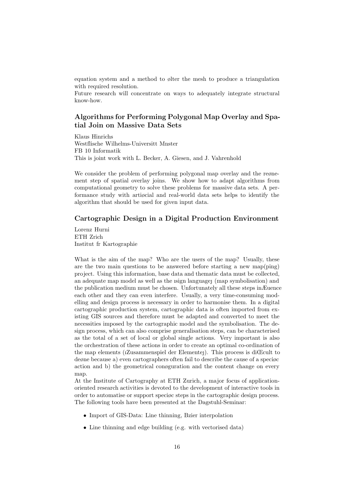equation system and a method to ølter the mesh to produce a triangulation with required resolution.

Future research will concentrate on ways to adequately integrate structural know-how.

# Algorithms for Performing Polygonal Map Overlay and Spatial Join on Massive Data Sets

Klaus Hinrichs Westflische Wilhelms-Universitt Mnster FB 10 Informatik This is joint work with L. Becker, A. Giesen, and J. Vahrenhold

We consider the problem of performing polygonal map overlay and the regnement step of spatial overlay joins. We show how to adapt algorithms from computational geometry to solve these problems for massive data sets. A performance study with artiøcial and real-world data sets helps to identify the algorithm that should be used for given input data.

# Cartographic Design in a Digital Production Environment

Lorenz Hurni ETH Zrich Institut fr Kartographie

What is the aim of the map? Who are the users of the map? Usually, these are the two main questions to be answered before starting a new map(ping) project. Using this information, base data and thematic data must be collected, an adequate map model as well as the ısign language (map symbolisation) and the publication medium must be chosen. Unfortunately all these steps inÆuence each other and they can even interfere. Usually, a very time-consuming modelling and design process is necessary in order to harmonise them. In a digital cartographic production system, cartographic data is often imported from existing GIS sources and therefore must be adapted and converted to meet the necessities imposed by the cartographic model and the symbolisation. The design process, which can also comprise generalisation steps, can be characterised as the total of a set of local or global single actions. Very important is also the orchestration of these actions in order to create an optimal co-ordination of the map elements (ıZusammenspiel der Elemente). This process is diŒcult to deøne because a) even cartographers often fail to describe the cause of a speciøc action and b) the geometrical conøguration and the content change on every map.

At the Institute of Cartography at ETH Zurich, a major focus of applicationoriented research activities is devoted to the development of interactive tools in order to automatise or support speciøc steps in the cartographic design process. The following tools have been presented at the Dagstuhl-Seminar:

- Import of GIS-Data: Line thinning, Bzier interpolation
- Line thinning and edge building (e.g. with vectorised data)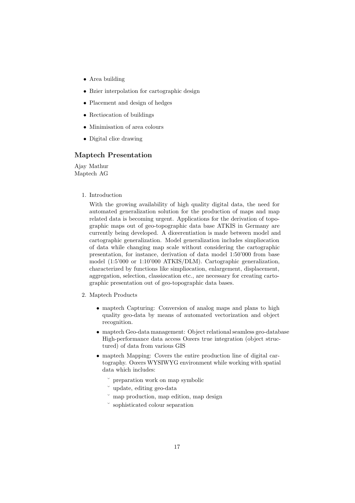- Area building
- Bzier interpolation for cartographic design
- Placement and design of hedges
- Rectiøcation of buildings
- Minimisation of area colours
- Digital cliœ drawing

# Maptech Presentation

Ajay Mathur Maptech AG

1. Introduction

With the growing availability of high quality digital data, the need for automated generalization solution for the production of maps and map related data is becoming urgent. Applications for the derivation of topographic maps out of geo-topographic data base ATKIS in Germany are currently being developed. A diœerentiation is made between model and cartographic generalization. Model generalization includes simpliøcation of data while changing map scale without considering the cartographic presentation, for instance, derivation of data model 1:50'000 from base model (1:5'000 or 1:10'000 ATKIS/DLM). Cartographic generalization, characterized by functions like simpliøcation, enlargement, displacement, aggregation, selection, classiøcation etc., are necessary for creating cartographic presentation out of geo-topographic data bases.

- 2. Maptech Products
	- maptech Capturing: Conversion of analog maps and plans to high quality geo-data by means of automated vectorization and object recognition.
	- maptech Geo-data management: Object relational seamless geo-database High-performance data access Oœers true integration (object structured) of data from various GIS
	- maptech Mapping: Covers the entire production line of digital cartography. Oœers WYSIWYG environment while working with spatial data which includes:
		- ˘ preparation work on map symbolic
		- ˘ update, editing geo-data
		- ˘ map production, map edition, map design
		- ˘ sophisticated colour separation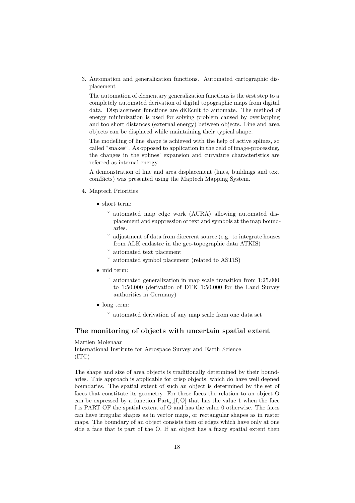3. Automation and generalization functions. Automated cartographic displacement

The automation of elementary generalization functions is the ørst step to a completely automated derivation of digital topographic maps from digital data. Displacement functions are diŒcult to automate. The method of energy minimization is used for solving problem caused by overlapping and too short distances (external energy) between objects. Line and area objects can be displaced while maintaining their typical shape.

The modelling of line shape is achieved with the help of active splines, so called "snakes". As opposed to application in the øeld of image-processing, the changes in the splines' expansion and curvature characteristics are referred as internal energy.

A demonstration of line and area displacement (lines, buildings and text conÆicts) was presented using the Maptech Mapping System.

- 4. Maptech Priorities
	- short term:
		- ˘ automated map edge work (AURA) allowing automated displacement and suppression of text and symbols at the map boundaries.
		- adjustment of data from diœerent source (e.g. to integrate houses from ALK cadastre in the geo-topographic data ATKIS)
		- ˘ automated text placement
		- automated symbol placement (related to ASTIS)
	- mid term:
		- $\degree$  automated generalization in map scale transition from 1:25.000 to 1:50.000 (derivation of DTK 1:50.000 for the Land Survey authorities in Germany)
	- long term:
		- ˘ automated derivation of any map scale from one data set

# The monitoring of objects with uncertain spatial extent

Martien Molenaar International Institute for Aerospace Survey and Earth Science (ITC)

The shape and size of area objects is traditionally determined by their boundaries. This approach is applicable for crisp objects, which do have well deøned boundaries. The spatial extent of such an object is determined by the set of faces that constitute its geometry. For these faces the relation to an object O can be expressed by a function  $Part_{22}[f, O]$  that has the value 1 when the face f is PART OF the spatial extent of O and has the value 0 otherwise. The faces can have irregular shapes as in vector maps, or rectangular shapes as in raster maps. The boundary of an object consists then of edges which have only at one side a face that is part of the O. If an object has a fuzzy spatial extent then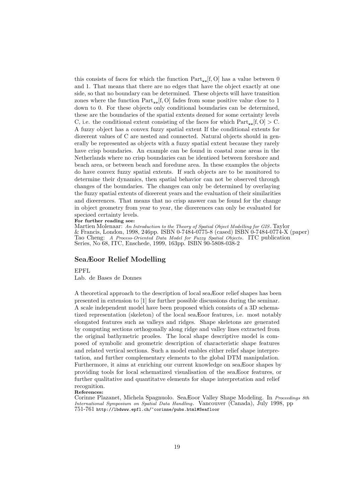this consists of faces for which the function  $Part_{22}[f, O]$  has a value between 0 and 1. That means that there are no edges that have the object exactly at one side, so that no boundary can be determined. These objects will have transition zones where the function  $Part_{22}[f, O]$  fades from some positive value close to 1 down to 0. For these objects only conditional boundaries can be determined, these are the boundaries of the spatial extents deøned for some certainty levels C, i.e. the conditional extent consisting of the faces for which  $Part_{22}[f, O] > C$ . A fuzzy object has a convex fuzzy spatial extent If the conditional extents for diœerent values of C are nested and connected. Natural objects should in generally be represented as objects with a fuzzy spatial extent because they rarely have crisp boundaries. An example can be found in coastal zone areas in the Netherlands where no crisp boundaries can be identiøed between foreshore and beach area, or between beach and foredune area. In these examples the objects do have convex fuzzy spatial extents. If such objects are to be monitored to determine their dynamics, then spatial behavior can not be observed through changes of the boundaries. The changes can only be determined by overlaying the fuzzy spatial extents of diœerent years and the evaluation of their similarities and diœerences. That means that no crisp answer can be found for the change in object geometry from year to year, the diœerences can only be evaluated for speciøed certainty levels.

#### For further reading see:

Martien Molenaar: An Introduction to the Theory of Spatial Object Modelling for GIS. Taylor & Francis, London, 1998, 246pp. ISBN 0-7484-0775-8 (cased) ISBN 0-7484-0774-X (paper) Tao Cheng: A Process-Oriented Data Model for Fuzzy Spatial Objects. ITC publication Series, No 68, ITC, Enschede, 1999, 163pp. ISBN 90-5808-038-2

#### SeaÆoor Relief Modelling

# EPFL

Lab. de Bases de Donnes

A theoretical approach to the description of local seaÆoor relief shapes has been presented in extension to [1] for further possible discussions during the seminar. A scale independent model have been proposed which consists of a 3D schematized representation (skeleton) of the local seaÆoor features, i.e. most notably elongated features such as valleys and ridges. Shape skeletons are generated by computing sections orthogonally along ridge and valley lines extracted from the original bathymetric proøles. The local shape descriptive model is composed of symbolic and geometric description of characteristic shape features and related vertical sections. Such a model enables either relief shape interpretation, and further complementary elements to the global DTM manipulation. Furthermore, it aims at enriching our current knowledge on seaÆoor shapes by providing tools for local schematized visualisation of the seaÆoor features, or further qualitative and quantitatve elements for shape interpretation and relief recognition.

References:

Corinne Plazanet, Michela Spagnuolo. Sea Eoor Valley Shape Modeling. In Proceedings 8th International Symposium on Spatial Data Handling. Vancouver (Canada), July 1998, pp 751-761 http://lbdwww.epfl.ch/~corinne/pubs.html#Seafloor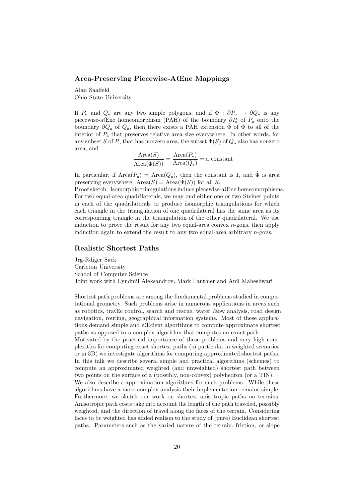#### Area-Preserving Piecewise-AŒne Mappings

Alan Saalfeld Ohio State University

If  $P_0$  and  $Q_0$  are any two simple polygons, and if  $\Phi : \partial P_0 \to \partial Q_0$  is any piecewise-aCne homeomorphism (PAH) of the boundary  $\partial P_0$  of  $P_0$  onto the boundary  $\partial Q_{o}$  of  $Q_{o}$ , then there exists a PAH extension  $\Phi$  of  $\Phi$  to all of the interior of  $P_{\text{o}}$  that preserves relative area size everywhere. In other words, for any subset S of  $P_o$  that has nonzero area, the subset  $\hat{\Phi}(S)$  of  $Q_o$  also has nonzero area, and

$$
\frac{\text{Area}(S)}{\text{Area}(\hat{\Phi}(S))} = \frac{\text{Area}(P_o)}{\text{Area}(Q_o)} = \text{a constant}
$$

In particular, if  $Area(P_0) = Area(Q_0)$ , then the constant is 1, and  $\hat{\Phi}$  is area preserving everywhere:  $Area(S) = Area(\hat{\Phi}(S))$  for all S.

Proof sketch: Isomorphic triangulations induce piecewise-aŒne homeomorphisms. For two equal-area quadrilaterals, we may ønd either one or two Steiner points in each of the quadrilaterals to produce isomorphic triangulations for which each triangle in the triangulation of one quadrilateral has the same area as its corresponding triangle in the triangulation of the other quadrilateral. We use induction to prove the result for any two equal-area convex  $n$ -gons, then apply induction again to extend the result to any two equal-area arbitrary  $n$ -gons.

# Realistic Shortest Paths

Jrg-Rdiger Sack Carleton University School of Computer Science Joint work with Lyudmil Aleksandrov, Mark Lanthier and Anil Maheshwari

Shortest path problems are among the fundamental problems studied in computational geometry. Such problems arise in numerous applications in areas such as robotics, traŒc control, search and rescue, water Æow analysis, road design, navigation, routing, geographical information systems. Most of these applications demand simple and eŒcient algorithms to compute approximate shortest paths as opposed to a complex algorithm that computes an exact path.

Motivated by the practical importance of these problems and very high complexities for computing exact shortest paths (in particular in weighted scenarios or in 3D) we investigate algorithms for computing approximated shortest paths. In this talk we describe several simple and practical algorithms (schemes) to compute an approximated weighted (and unweighted) shortest path between two points on the surface of a (possibly, non-convex) polyhedron (or a TIN).

We also describe  $\epsilon$ -approximation algorithms for such problems. While these algorithms have a more complex analysis their implementation remains simple. Furthermore, we sketch our work on shortest anisotropic paths on terrains. Anisotropic path costs take into account the length of the path traveled, possibly weighted, and the direction of travel along the faces of the terrain. Considering faces to be weighted has added realism to the study of (pure) Euclidean shortest paths. Parameters such as the varied nature of the terrain, friction, or slope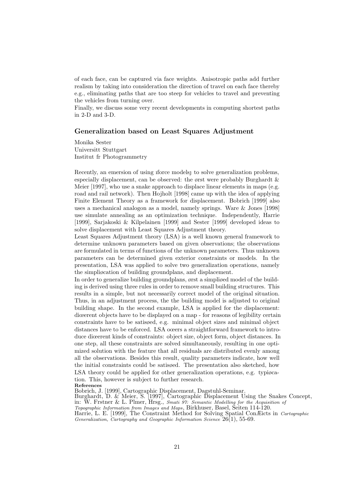of each face, can be captured via face weights. Anisotropic paths add further realism by taking into consideration the direction of travel on each face thereby e.g., eliminating paths that are too steep for vehicles to travel and preventing the vehicles from turning over.

Finally, we discuss some very recent developments in computing shortest paths in 2-D and 3-D.

### Generalization based on Least Squares Adjustment

Monika Sester Universitt Stuttgart Institut für Photogrammetry

Recently, an emersion of using iforce models to solve generalization problems, especially displacement, can be observed: the ørst were probably Burghardt & Meier [1997], who use a snake approach to displace linear elements in maps (e.g. road and rail network). Then Hojholt [1998] came up with the idea of applying Finite Element Theory as a framework for displacement. Bobrich [1999] also uses a mechanical analogon as a model, namely springs. Ware & Jones [1998] use simulate annealing as an optimization technique. Independently, Harrie [1999], Sarjakoski & Kilpelainen [1999] and Sester [1999] developed ideas to solve displacement with Least Squares Adjustment theory.

Least Squares Adjustment theory (LSA) is a well known general framework to determine unknown parameters based on given observations; the observations are formulated in terms of functions of the unknown parameters. Thus unknown parameters can be determined given exterior constraints or models. In the presentation, LSA was applied to solve two generalization operations, namely the simpliøcation of building groundplans, and displacement.

In order to generalize building groundplans, ørst a simpliøed model of the building is derived using three rules in order to remove small building structures. This results in a simple, but not necessarily correct model of the original situation. Thus, in an adjustment process, the the building model is adjusted to original building shape. In the second example, LSA is applied for the displacement: diœerent objects have to be displayed on a map - for reasons of legibility certain constraints have to be satisøed, e.g. minimal object sizes and minimal object distances have to be enforced. LSA oœers a straightforward framework to introduce diœerent kinds of constraints: object size, object form, object distances. In one step, all these constraints are solved simultaneously, resulting in one optimized solution with the feature that all residuals are distributed evenly among all the observations. Besides this result, quality parameters indicate, how well the initial constraints could be satisøed. The presentation also sketched, how LSA theory could be applied for other generalization operations, e.g. typiøcation. This, however is subject to further research.

References

Bobrich, J. [1999], Cartographic Displacement, Dagstuhl-Seminar.

Burghardt, D. & Meier, S. [1997], Cartographic Displacement Using the Snakes Concept, in:  $W$ . Frstner & L. Plimer, Hrsg., *Smati 97: Semantic Modelling for the Acquisition of* 

Topographic Information from Images and Maps, Birkhuser, Basel, Seiten 114-120.

Harrie, L. E. [1999], The Constraint Method for Solving Spatial ConÆicts in Cartographic Generalization, Cartography and Geographic Information Science 26(1), 55-69.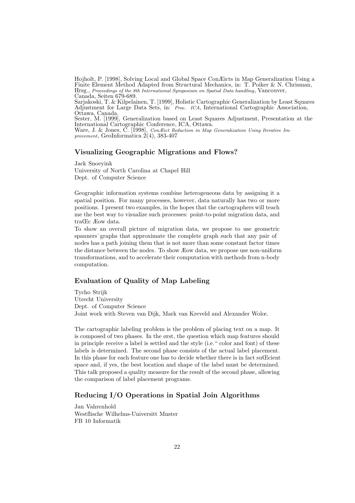Hojholt, P. [1998], Solving Local and Global Space ConÆicts in Map Generalization Using a Finite Element Method Adapted from Structural Mechanics, in: T. Poiker & N. Chrisman, Hrsg., Proceedings of the 8th International Symposium on Spatial Data handling, Vancouver, Canada, Seiten 679-689.

Sarjakoski, T. & Kilpelainen, T. [1999], Holistic Cartographic Generalization by Least Squares Adjustment for Large Data Sets, in: *Proc. ICA*, International Cartographic Association, Ottawa, Canada.

Sester, M. [1999], Generalization based on Least Squares Adjustment, Presentation at the International Cartographic Conference, ICA, Ottawa.

Ware, J. & Jones, C. [1998], Con Eict Reduction in Map Generalization Using Iterative Improvement, GeoInformatica 2(4), 383-407

#### Visualizing Geographic Migrations and Flows?

Jack Snoeyink University of North Carolina at Chapel Hill Dept. of Computer Science

Geographic information systems combine heterogeneous data by assigning it a spatial position. For many processes, however, data naturally has two or more positions. I present two examples, in the hopes that the cartographers will teach me the best way to visualize such processes: point-to-point migration data, and traŒc Æow data.

To show an overall picture of migration data, we propose to use geometric spanners¯graphs that approximate the complete graph such that any pair of nodes has a path joining them that is not more than some constant factor times the distance between the nodes. To show Æow data, we propose use non-uniform transformations, and to accelerate their computation with methods from n-body computation.

# Evaluation of Quality of Map Labeling

Tycho Strijk Utrecht University Dept. of Computer Science Joint work with Steven van Dijk, Mark van Kreveld and Alexander Wolœ.

The cartographic labeling problem is the problem of placing text on a map. It is composed of two phases. In the ørst, the question which map features should in principle receive a label is settled and the style (i.e." color and font) of these labels is determined. The second phase consists of the actual label placement. In this phase for each feature one has to decide whether there is in fact suCcient space and, if yes, the best location and shape of the label must be determined. This talk proposed a quality measure for the result of the second phase, allowing the comparison of label placement programs.

# Reducing I/O Operations in Spatial Join Algorithms

Jan Vahrenhold Westflische Wilhelms-Universitt Mnster FB 10 Informatik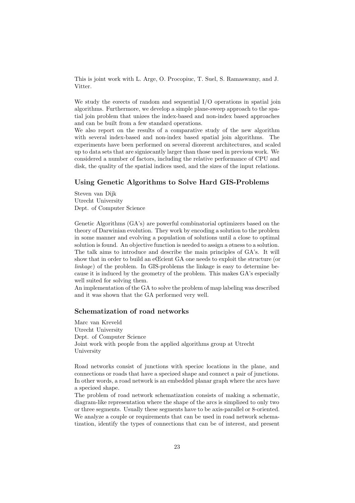This is joint work with L. Arge, O. Procopiuc, T. Suel, S. Ramaswamy, and J. Vitter.

We study the ecects of random and sequential I/O operations in spatial join algorithms. Furthermore, we develop a simple plane-sweep approach to the spatial join problem that uniøes the index-based and non-index based approaches and can be built from a few standard operations.

We also report on the results of a comparative study of the new algorithm with several index-based and non-index based spatial join algorithms. The experiments have been performed on several diœerent architectures, and scaled up to data sets that are signiøcantly larger than those used in previous work. We considered a number of factors, including the relative performance of CPU and disk, the quality of the spatial indices used, and the sizes of the input relations.

# Using Genetic Algorithms to Solve Hard GIS-Problems

Steven van Dijk Utrecht University Dept. of Computer Science

Genetic Algorithms (GA's) are powerful combinatorial optimizers based on the theory of Darwinian evolution. They work by encoding a solution to the problem in some manner and evolving a population of solutions until a close to optimal solution is found. An objective function is needed to assign a øtness to a solution. The talk aims to introduce and describe the main principles of GA's. It will show that in order to build an eŒcient GA one needs to exploit the structure (or linkage) of the problem. In GIS-problems the linkage is easy to determine because it is induced by the geometry of the problem. This makes GA's especially well suited for solving them.

An implementation of the GA to solve the problem of map labeling was described and it was shown that the GA performed very well.

# Schematization of road networks

Marc van Kreveld Utrecht University Dept. of Computer Science Joint work with people from the applied algorithms group at Utrecht University

Road networks consist of junctions with speciøc locations in the plane, and connections or roads that have a speciøed shape and connect a pair of junctions. In other words, a road network is an embedded planar graph where the arcs have a speciøed shape.

The problem of road network schematization consists of making a schematic, diagram-like representation where the shape of the arcs is simpliøed to only two or three segments. Usually these segments have to be axis-parallel or 8-oriented. We analyze a couple or requirements that can be used in road network schematization, identify the types of connections that can be of interest, and present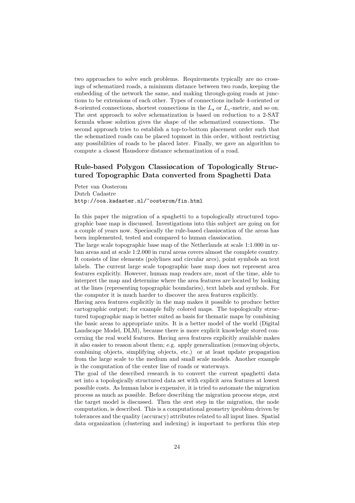two approaches to solve such problems. Requirements typically are no crossings of schematized roads, a minimum distance between two roads, keeping the embedding of the network the same, and making through-going roads at junctions to be extensions of each other. Types of connections include 4-oriented or 8-oriented connections, shortest connections in the  $L<sub>2</sub>$  or  $L<sub>1</sub>$ -metric, and so on. The ørst approach to solve schematization is based on reduction to a 2-SAT formula whose solution gives the shape of the schematized connections. The second approach tries to establish a top-to-bottom placement order such that the schematized roads can be placed topmost in this order, without restricting any possibilities of roads to be placed later. Finally, we gave an algorithm to compute a closest Hausdorœ distance schematization of a road.

# Rule-based Polygon Classiøcation of Topologically Structured Topographic Data converted from Spaghetti Data

Peter van Oosterom Dutch Cadastre http://ooa.kadaster.nl/~oosterom/fin.html

In this paper the migration of a spaghetti to a topologically structured topographic base map is discussed. Investigations into this subject are going on for a couple of years now. Speciøcally the rule-based classiøcation of the areas has been implemented, tested and compared to human classiøcation.

The large scale topographic base map of the Netherlands at scale 1:1.000 in urban areas and at scale 1:2.000 in rural areas covers almost the complete country. It consists of line elements (polylines and circular arcs), point symbols an text labels. The current large scale topographic base map does not represent area features explicitly. However, human map readers are, most of the time, able to interpret the map and determine where the area features are located by looking at the lines (representing topographic boundaries), text labels and symbols. For the computer it is much harder to discover the area features explicitly.

Having area features explicitly in the map makes it possible to produce better cartographic output; for example fully colored maps. The topologically structured topographic map is better suited as basis for thematic maps by combining the basic areas to appropriate units. It is a better model of the world (Digital Landscape Model, DLM), because there is more explicit knowledge stored concerning the real world features. Having area features explicitly available makes it also easier to reason about them; e.g. apply generalization (removing objects, combining objects, simplifying objects, etc.) or at least update propagation from the large scale to the medium and small scale models. Another example is the computation of the center line of roads or waterways.

The goal of the described research is to convert the current spaghetti data set into a topologically structured data set with explicit area features at lowest possible costs. As human labor is expensive, it is tried to automate the migration process as much as possible. Before describing the migration process steps, ørst the target model is discussed. Then the ørst step in the migration, the node computation, is described. This is a computational geometry iproblem driven by tolerances and the quality (accuracy) attributes related to all input lines. Spatial data organization (clustering and indexing) is important to perform this step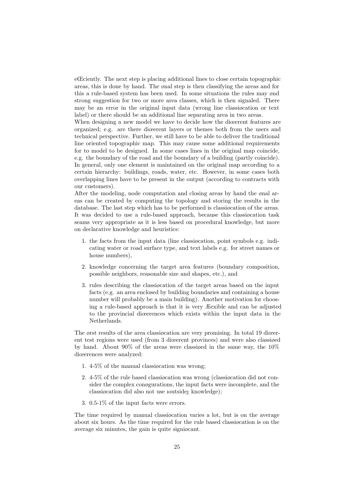eŒciently. The next step is placing additional lines to close certain topographic areas, this is done by hand. The ønal step is then classifying the areas and for this a rule-based system has been used. In some situations the rules may ønd strong suggestion for two or more area classes, which is then signaled. There may be an error in the original input data (wrong line classiøcation or text label) or there should be an additional line separating area in two areas.

When designing a new model we have to decide how the dicerent features are organized; e.g. are there diœerent layers or themes both from the users and technical perspective. Further, we still have to be able to deliver the traditional line oriented topographic map. This may cause some additional requirements for to model to be designed. In some cases lines in the original map coincide, e.g. the boundary of the road and the boundary of a building (partly coincide). In general, only one element is maintained on the original map according to a certain hierarchy: buildings, roads, water, etc. However, in some cases both overlapping lines have to be present in the output (according to contracts with our customers).

After the modeling, node computation and closing areas by hand the ønal areas can be created by computing the topology and storing the results in the database. The last step which has to be performed is classiøcation of the areas. It was decided to use a rule-based approach, because this classiøcation task seams very appropriate as it is less based on procedural knowledge, but more on declarative knowledge and heuristics:

- 1. the facts from the input data (line classiøcation, point symbols e.g. indicating water or road surface type, and text labels e.g. for street names or house numbers),
- 2. knowledge concerning the target area features (boundary composition, possible neighbors, reasonable size and shapes, etc.), and
- 3. rules describing the classiøcation of the target areas based on the input facts (e.g. an area enclosed by building boundaries and containing a house number will probably be a main building). Another motivation for choosing a rule-based approach is that it is very Æexible and can be adjusted to the provincial diœerences which exists within the input data in the Netherlands.

The ørst results of the area classiøcation are very promising. In total 19 diœerent test regions were used (from 3 diœerent provinces) and were also classiøed by hand. About 90% of the areas were classiøed in the same way, the 10% diœerences were analyzed:

- 1. 4-5% of the manual classiøcation was wrong;
- 2. 4-5% of the rule based classiøcation was wrong (classiøcation did not consider the complex conøgurations, the input facts were incomplete, and the classiguation did also not use ioutside knowledge);
- 3. 0.5-1% of the input facts were errors.

The time required by manual classiøcation varies a lot, but is on the average about six hours. As the time required for the rule based classiøcation is on the average six minutes, the gain is quite signiøcant.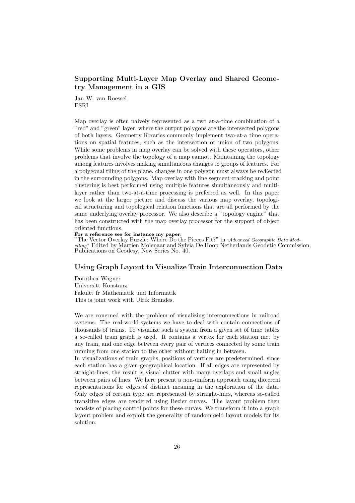# Supporting Multi-Layer Map Overlay and Shared Geometry Management in a GIS

Jan W. van Roessel **ESRI** 

Map overlay is often naively represented as a two at-a-time combination of a "red" and "green" layer, where the output polygons are the intersected polygons of both layers. Geometry libraries commonly implement two-at-a time operations on spatial features, such as the intersection or union of two polygons. While some problems in map overlay can be solved with these operators, other problems that involve the topology of a map cannot. Maintaining the topology among features involves making simultaneous changes to groups of features. For a polygonal tiling of the plane, changes in one polygon must always be reÆected in the surrounding polygons. Map overlay with line segment cracking and point clustering is best performed using multiple features simultaneously and multilayer rather than two-at-a-time processing is preferred as well. In this paper we look at the larger picture and discuss the various map overlay, topological structuring and topological relation functions that are all performed by the same underlying overlay processor. We also describe a "topology engine" that has been constructed with the map overlay processor for the support of object oriented functions.

For a reference see for instance my paper:

"The Vector Overlay Puzzle: Where Do the Pieces Fit?" in ıAdvanced Geographic Data Modelling" Edited by Martien Molenaar and Sylvia De Hoop Netherlands Geodetic Commission, Publications on Geodesy, New Series No. 40.

#### Using Graph Layout to Visualize Train Interconnection Data

Dorothea Wagner Universitt Konstanz Fakultt fr Mathematik und Informatik This is joint work with Ulrik Brandes.

We are conerned with the problem of visualizing interconnections in railroad systems. The real-world systems we have to deal with contain connections of thousands of trains. To visualize such a system from a given set of time tables a so-called train graph is used. It contains a vertex for each station met by any train, and one edge between every pair of vertices connected by some train running from one station to the other without halting in between.

In visualizations of train graphs, positions of vertices are predetermined, since each station has a given geographical location. If all edges are represented by straight-lines, the result is visual clutter with many overlaps and small angles between pairs of lines. We here present a non-uniform approach using diœerent representations for edges of distinct meaning in the exploration of the data. Only edges of certain type are represented by straight-lines, whereas so-called transitive edges are rendered using Bezier curves. The layout problem then consists of placing control points for these curves. We transform it into a graph layout problem and exploit the generality of random øeld layout models for its solution.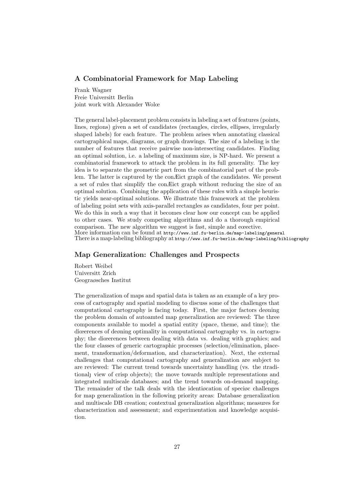# A Combinatorial Framework for Map Labeling

Frank Wagner Freie Universitt Berlin joint work with Alexander Wolœ

The general label-placement problem consists in labeling a set of features (points, lines, regions) given a set of candidates (rectangles, circles, ellipses, irregularly shaped labels) for each feature. The problem arises when annotating classical cartographical maps, diagrams, or graph drawings. The size of a labeling is the number of features that receive pairwise non-intersecting candidates. Finding an optimal solution, i.e. a labeling of maximum size, is NP-hard. We present a combinatorial framework to attack the problem in its full generality. The key idea is to separate the geometric part from the combinatorial part of the problem. The latter is captured by the conÆict graph of the candidates. We present a set of rules that simplify the conÆict graph without reducing the size of an optimal solution. Combining the application of these rules with a simple heuristic yields near-optimal solutions. We illustrate this framework at the problem of labeling point sets with axis-parallel rectangles as candidates, four per point. We do this in such a way that it becomes clear how our concept can be applied to other cases. We study competing algorithms and do a thorough empirical comparison. The new algorithm we suggest is fast, simple and eœective. More information can be found at http://www.inf.fu-berlin.de/map-labeling/general There is a map-labeling bibliography at http://www.inf.fu-berlin.de/map-labeling/bibliography

# Map Generalization: Challenges and Prospects

Robert Weibel Universitt Zrich Geograøsches Institut

The generalization of maps and spatial data is taken as an example of a key process of cartography and spatial modeling to discuss some of the challenges that computational cartography is facing today. First, the major factors deøning the problem domain of autoamted map generalization are reviewed: The three components available to model a spatial entity (space, theme, and time); the diœerences of deøning optimality in computational cartography vs. in cartography; the diœerences between dealing with data vs. dealing with graphics; and the four classes of generic cartographic processes (selection/elimination, placement, transformation/deformation, and characterization). Next, the external challenges that computational cartography and generalization are subject to are reviewed: The current trend towards uncertainty handling (vs. the ıtraditional view of crisp objects); the move towards multiple representations and integrated multiscale databases; and the trend towards on-demand mapping. The remainder of the talk deals with the identiøcation of speciøc challenges for map generalization in the following priority areas: Database generalization and multiscale DB creation; contextual generalization algorithms; measures for characterization and assessment; and experimentation and knowledge acquisition.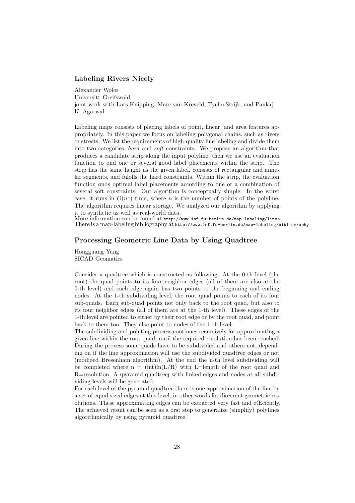### Labeling Rivers Nicely

Alexander Wolœ Universitt Greifswald joint work with Lars Knipping, Marc van Kreveld, Tycho Strijk, and Pankaj K. Agarwal

Labeling maps consists of placing labels of point, linear, and area features appropriately. In this paper we focus on labeling polygonal chains, such as rivers or streets. We list the requirements of high-quality line labeling and divide them into two categories, hard and soft constraints. We propose an algorithm that produces a candidate strip along the input polyline; then we use an evaluation function to ønd one or several good label placements within the strip. The strip has the same height as the given label, consists of rectangular and annular segments, and fulølls the hard constraints. Within the strip, the evaluation function ønds optimal label placements according to one or a combination of several soft constraints. Our algorithm is conceptually simple. In the worst case, it runs in  $O(n^2)$  time, where *n* is the number of points of the polyline. The algorithm requires linear storage. We analyzed our algorithm by applying it to synthetic as well as real-world data.

More information can be found at http://www.inf.fu-berlin.de/map-labeling/lines There is a map-labeling bibliography at http://www.inf.fu-berlin.de/map-labeling/bibliography

# Processing Geometric Line Data by Using Quadtree

Hongguang Yang SICAD Geomatics

Consider a quadtree which is constructed as following: At the 0-th level (the root) the quad points to its four neighbor edges (all of them are also at the 0-th level) and each edge again has two points to the beginning and ending nodes. At the 1-th subdividing level, the root quad points to each of its four sub-quads. Each sub-quad points not only back to the root quad, but also to its four neighbor edges (all of them are at the 1-th level). These edges of the 1-th level are pointed to either by their root edge or by the root quad, and point back to them too. They also point to nodes of the 1-th level.

The subdividing and pointing process continues recursively for approximating a given line within the root quad, until the required resolution has been reached. During the process some quads have to be subdivided and others not, depending on if the line approximation will use the subdivided quadtree edges or not (modiøed Bresenham algorithm). At the end the n-th level subdividing will be completed where  $n = (int)ln(L/R)$  with L=length of the root quad and  $R =$ resolution. A ipyramid quadtree with linked edges and nodes at all subdividing levels will be generated.

For each level of the pyramid quadtree there is one approximation of the line by a set of equal sized edges at this level, in other words for diœerent geometric resolutions. These approximating edges can be extracted very fast and eŒciently. The achieved result can be seen as a ørst step to generalize (simplify) polylines algorithmically by using pyramid quadtree.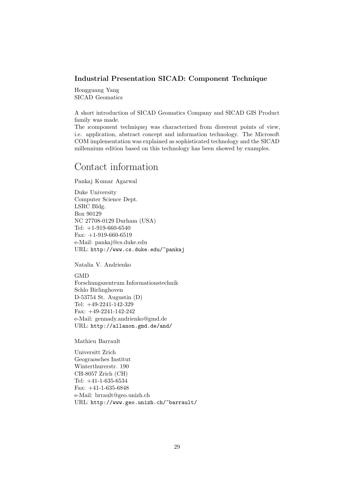# Industrial Presentation SICAD: Component Technique

Hongguang Yang SICAD Geomatics

A short introduction of SICAD Geomatics Company and SICAD GIS Product family was made.

The icomponent technique was characterized from diœerent points of view, i.e. application, abstract concept and information technology. The Microsoft COM implementation was explained as sophisticated technology and the SICAD millennium edition based on this technology has been showed by examples.

# Contact information

Pankaj Kumar Agarwal

Duke University Computer Science Dept. LSRC Bldg. Box 90129 NC 27708-0129 Durham (USA) Tel: +1-919-660-6540 Fax: +1-919-660-6519 e-Mail: pankaj@cs.duke.edu URL: http://www.cs.duke.edu/~pankaj

Natalia V. Andrienko

**GMD** Forschungszentrum Informationstechnik Schlo Birlinghoven D-53754 St. Augustin (D) Tel: +49-2241-142-329

Fax: +49-2241-142-242 e-Mail: gennady.andrienko@gmd.de URL: http://allanon.gmd.de/and/

Mathieu Barrault

Universitt Zrich Geograøsches Institut Winterthurerstr. 190 CH-8057 Zrich (CH) Tel: +41-1-635-6534 Fax:  $+41-1-635-6848$ e-Mail: brrault@geo.unizh.ch URL: http://www.geo.unizh.ch/~barrault/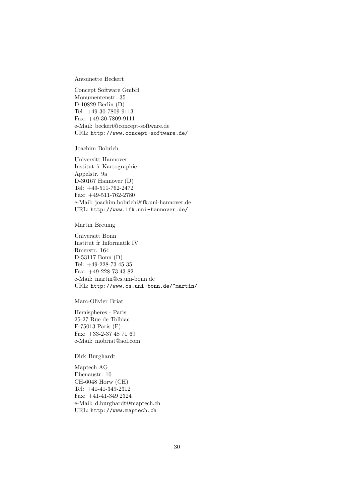Antoinette Beckert

Concept Software GmbH Monumentenstr. 35 D-10829 Berlin (D) Tel: +49-30-7809-9113 Fax: +49-30-7809-9111 e-Mail: beckert@concept-software.de URL: http://www.concept-software.de/

Joachim Bobrich

Universitt Hannover Institut fr Kartographie Appelstr. 9a D-30167 Hannover (D) Tel: +49-511-762-2472 Fax: +49-511-762-2780 e-Mail: joachim.bobrich@ifk.uni-hannover.de URL: http://www.ifk.uni-hannover.de/

Martin Breunig

Universitt Bonn Institut fr Informatik IV Rmerstr. 164 D-53117 Bonn (D) Tel: +49-228-73 45 35 Fax: +49-228-73 43 82 e-Mail: martin@cs.uni-bonn.de URL: http://www.cs.uni-bonn.de/~martin/

Marc-Olivier Briat

Hemispheres - Paris 25-27 Rue de Tolbiac F-75013 Paris (F) Fax: +33-2-37 48 71 69 e-Mail: mobriat@aol.com

Dirk Burghardt

Maptech AG Ebenaustr. 10 CH-6048 Horw (CH) Tel: +41-41-349-2312 Fax: +41-41-349 2324 e-Mail: d.burghardt@maptech.ch URL: http://www.maptech.ch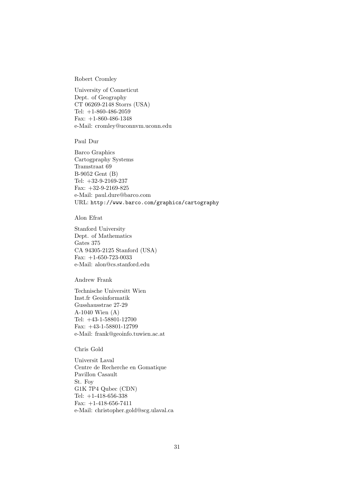Robert Cromley

University of Conneticut Dept. of Geography CT 06269-2148 Storrs (USA) Tel:  $+1-860-486-2059$ Fax: +1-860-486-1348 e-Mail: cromley@uconnvm.uconn.edu

Paul Duré

Barco Graphics Cartogpraphy Systems Tramstraat 69 B-9052 Gent (B) Tel: +32-9-2169-237 Fax:  $+32-9-2169-825$ e-Mail: paul.dure@barco.com URL: http://www.barco.com/graphics/cartography

Alon Efrat

Stanford University Dept. of Mathematics Gates 375 CA 94305-2125 Stanford (USA) Fax: +1-650-723-0033 e-Mail: alon@cs.stanford.edu

Andrew Frank

Technische Universität Wien Inst.für Geoinformatik Gusshausstraße 27-29 A-1040 Wien (A) Tel: +43-1-58801-12700 Fax: +43-1-58801-12799 e-Mail: frank@geoinfo.tuwien.ac.at

Chris Gold

Universit Laval Centre de Recherche en Gomatique Pavillon Casault St. Foy G1K 7P4 Qubec (CDN) Tel:  $+1-418-656-338$ Fax: +1-418-656-7411 e-Mail: christopher.gold@scg.ulaval.ca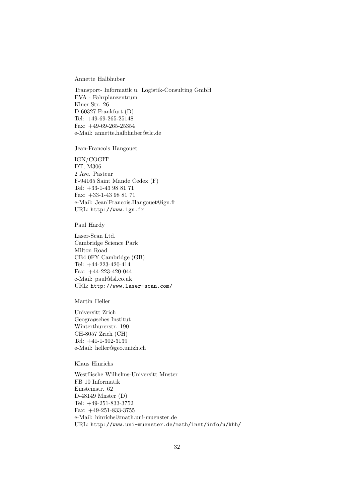Annette Halbhuber

Transport- Informatik u. Logistik-Consulting GmbH EVA - Fahrplanzentrum Klner Str. 26 D-60327 Frankfurt (D) Tel: +49-69-265-25148 Fax: +49-69-265-25354 e-Mail: annette.halbhuber@tlc.de

Jean-Francois Hangouet

IGN/COGIT DT, M306 2 Ave. Pasteur F-94165 Saint Mande Cedex (F) Tel: +33-1-43 98 81 71 Fax: +33-1-43 98 81 71 e-Mail: Jean˙Francois.Hangouet@ign.fr URL: http://www.ign.fr

Paul Hardy

Laser-Scan Ltd. Cambridge Science Park Milton Road CB4 0FY Cambridge (GB) Tel: +44-223-420-414 Fax: +44-223-420-044 e-Mail: paul@lsl.co.uk URL: http://www.laser-scan.com/

Martin Heller

Universitt Zrich Geograøsches Institut Winterthurerstr. 190 CH-8057 Zrich (CH) Tel: +41-1-302-3139 e-Mail: heller@geo.unizh.ch

Klaus Hinrichs

Westflische Wilhelms-Universitt Mnster FB 10 Informatik Einsteinstr. 62  $D-48149$  Mnster  $(D)$ Tel: +49-251-833-3752 Fax: +49-251-833-3755 e-Mail: hinrichs@math.uni-muenster.de URL: http://www.uni-muenster.de/math/inst/info/u/khh/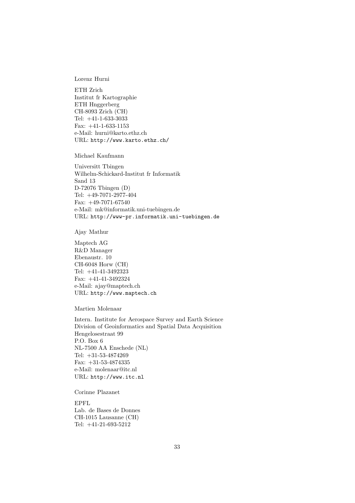Lorenz Hurni

ETH Zrich Institut fr Kartographie ETH Hnggerberg CH-8093 Zrich (CH) Tel: +41-1-633-3033 Fax: +41-1-633-1153 e-Mail: hurni@karto.ethz.ch URL: http://www.karto.ethz.ch/

Michael Kaufmann

Universitt Tbingen Wilhelm-Schickard-Institut fr Informatik Sand 13  $D-72076$  Tbingen  $(D)$ Tel: +49-7071-2977-404 Fax: +49-7071-67540 e-Mail: mk@informatik.uni-tuebingen.de URL: http://www-pr.informatik.uni-tuebingen.de

Ajay Mathur

Maptech AG R&D Manager Ebenaustr. 10 CH-6048 Horw (CH) Tel: +41-41-3492323 Fax: +41-41-3492324 e-Mail: ajay@maptech.ch URL: http://www.maptech.ch

Martien Molenaar

Intern. Institute for Aerospace Survey and Earth Science Division of Geoinformatics and Spatial Data Acquisition Hengelosestraat 99 P.O. Box 6 NL-7500 AA Enschede (NL) Tel: +31-53-4874269 Fax: +31-53-4874335 e-Mail: molenaar@itc.nl URL: http://www.itc.nl

Corinne Plazanet

EPFL Lab. de Bases de Donnes CH-1015 Lausanne (CH) Tel: +41-21-693-5212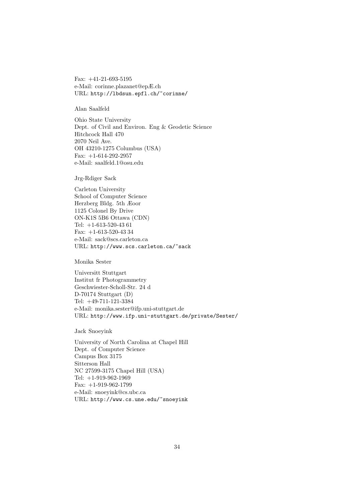Fax: +41-21-693-5195 e-Mail: corinne.plazanet@epÆ.ch URL: http://lbdsun.epfl.ch/~corinne/

Alan Saalfeld

Ohio State University Dept. of Civil and Environ. Eng & Geodetic Science Hitchcock Hall 470 2070 Neil Ave. OH 43210-1275 Columbus (USA) Fax: +1-614-292-2957 e-Mail: saalfeld.1@osu.edu

Jrg-Rdiger Sack

Carleton University School of Computer Science Herzberg Bldg. 5th Æoor 1125 Colonel By Drive ON-K1S 5B6 Ottawa (CDN) Tel: +1-613-520-43 61 Fax: +1-613-520-43 34 e-Mail: sack@scs.carleton.ca URL: http://www.scs.carleton.ca/~sack

Monika Sester

Universitt Stuttgart Institut für Photogrammetry Geschwiester-Scholl-Str. 24 d D-70174 Stuttgart (D) Tel: +49-711-121-3384 e-Mail: monika.sester@ifp.uni-stuttgart.de URL: http://www.ifp.uni-stuttgart.de/private/Sester/

Jack Snoeyink

University of North Carolina at Chapel Hill Dept. of Computer Science Campus Box 3175 Sitterson Hall NC 27599-3175 Chapel Hill (USA) Tel: +1-919-962-1969 Fax: +1-919-962-1799 e-Mail: snoeyink@cs.ubc.ca URL: http://www.cs.une.edu/~snoeyink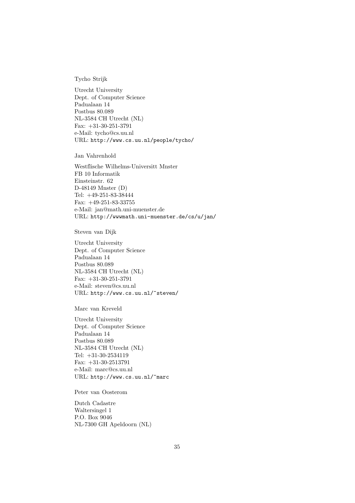Tycho Strijk

Utrecht University Dept. of Computer Science Padualaan 14 Postbus 80.089 NL-3584 CH Utrecht (NL) Fax: +31-30-251-3791 e-Mail: tycho@cs.uu.nl URL: http://www.cs.uu.nl/people/tycho/

Jan Vahrenhold

Westflische Wilhelms-Universitt Mnster FB 10 Informatik Einsteinstr. 62  $D-48149$  Mnster  $(D)$ Tel: +49-251-83-38444 Fax: +49-251-83-33755 e-Mail: jan@math.uni-muenster.de URL: http://wwwmath.uni-muenster.de/cs/u/jan/

Steven van Dijk

Utrecht University Dept. of Computer Science Padualaan 14 Postbus 80.089 NL-3584 CH Utrecht (NL) Fax: +31-30-251-3791 e-Mail: steven@cs.uu.nl URL: http://www.cs.uu.nl/~steven/

Marc van Kreveld

Utrecht University Dept. of Computer Science Padualaan 14 Postbus 80.089 NL-3584 CH Utrecht (NL) Tel: +31-30-2534119 Fax: +31-30-2513791 e-Mail: marc@cs.uu.nl URL: http://www.cs.uu.nl/~marc

Peter van Oosterom

Dutch Cadastre Waltersingel 1 P.O. Box 9046 NL-7300 GH Apeldoorn (NL)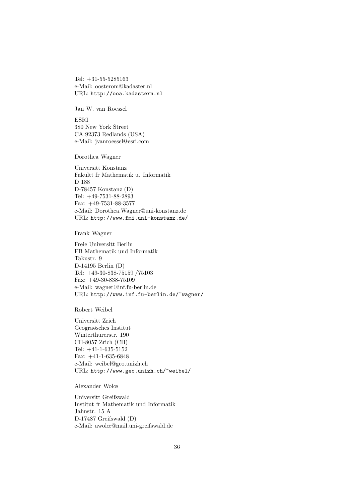Tel: +31-55-5285163 e-Mail: oosterom@kadaster.nl URL: http://ooa.kadastern.nl

Jan W. van Roessel

ESRI 380 New York Street CA 92373 Redlands (USA) e-Mail: jvanroessel@esri.com

Dorothea Wagner

Universitt Konstanz Fakultt fr Mathematik u. Informatik D 188 D-78457 Konstanz (D) Tel: +49-7531-88-2893 Fax: +49-7531-88-3577 e-Mail: Dorothea.Wagner@uni-konstanz.de URL: http://www.fmi.uni-konstanz.de/

Frank Wagner

Freie Universitt Berlin FB Mathematik und Informatik Takustr. 9 D-14195 Berlin (D) Tel: +49-30-838-75159 /75103 Fax:  $+49-30-838-75109$ e-Mail: wagner@inf.fu-berlin.de URL: http://www.inf.fu-berlin.de/~wagner/

Robert Weibel

Universitt Zrich Geograøsches Institut Winterthurerstr. 190 CH-8057 Zrich (CH) Tel: +41-1-635-5152 Fax: +41-1-635-6848 e-Mail: weibel@geo.unizh.ch URL: http://www.geo.unizh.ch/~weibel/

Alexander Wolœ

Universitt Greifswald Institut für Mathematik und Informatik Jahnstr. 15 A D-17487 Greifswald (D) e-Mail: awolœ@mail.uni-greifswald.de